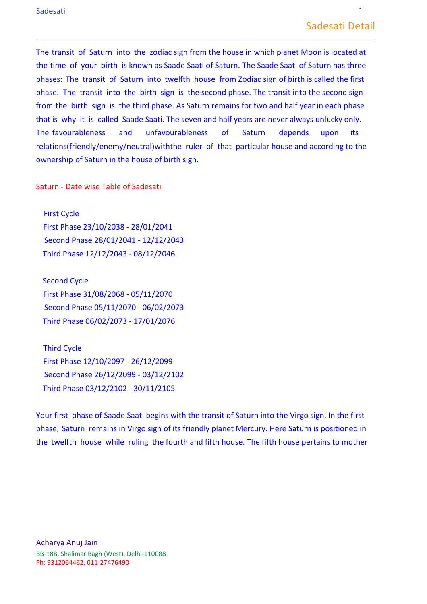The transit of Saturn into the zodiac sign from the house in which planet Moon is located at the time of your birth is known as Saade Saati of Saturn. The Saade Saati of Saturn has three phases: The transit of Saturn into twelfth house from Zodiac sign of birth is called the first phase. The transit into the birth sign is the second phase. The transit into the second sign from the birth sign is the third phase. As Saturn remains for two and half year in each phase that is why it is called Saade Saati. The seven and half years are never always unlucky only. The favourableness and unfavourableness of Saturn depends upon its relations(friendly/enemy/neutral)withthe ruler of that particular house and according to the ownership of Saturn in the house of birth sign.

## Saturn - Date wise Table of Sadesati

 First Cycle First Phase 23/10/2038 - 28/01/2041 Second Phase 28/01/2041 - 12/12/2043 Third Phase 12/12/2043 - 08/12/2046

 Second Cycle First Phase 31/08/2068 - 05/11/2070 Second Phase 05/11/2070 - 06/02/2073 Third Phase 06/02/2073 - 17/01/2076

 Third Cycle First Phase 12/10/2097 - 26/12/2099 Second Phase 26/12/2099 - 03/12/2102 Third Phase 03/12/2102 - 30/11/2105

Your first phase of Saade Saati begins with the transit of Saturn into the Virgo sign. In the first phase, Saturn remains in Virgo sign of its friendly planet Mercury. Here Saturn is positioned in the twelfth house while ruling the fourth and fifth house. The fifth house pertains to mother

Ph: 9312064462, 011-27476490 BB-18B, Shalimar Bagh (West), Delhi-110088 Acharya Anuj Jain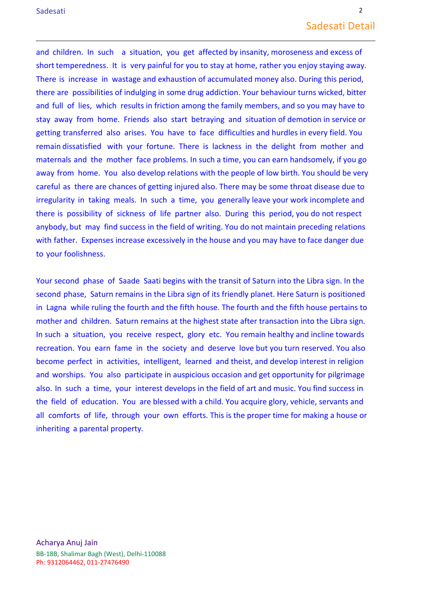and children. In such a situation, you get affected by insanity, moroseness and excess of short temperedness. It is very painful for you to stay at home, rather you enjoy staying away. There is increase in wastage and exhaustion of accumulated money also. During this period, there are possibilities of indulging in some drug addiction. Your behaviour turns wicked, bitter and full of lies, which results in friction among the family members, and so you may have to stay away from home. Friends also start betraying and situation of demotion in service or getting transferred also arises. You have to face difficulties and hurdles in every field. You remain dissatisfied with your fortune. There is lackness in the delight from mother and maternals and the mother face problems. In such a time, you can earn handsomely, if you go away from home. You also develop relations with the people of low birth. You should be very careful as there are chances of getting injured also. There may be some throat disease due to irregularity in taking meals. In such a time, you generally leave your work incomplete and there is possibility of sickness of life partner also. During this period, you do not respect anybody, but may find success in the field of writing. You do not maintain preceding relations with father. Expenses increase excessively in the house and you may have to face danger due to your foolishness.

Your second phase of Saade Saati begins with the transit of Saturn into the Libra sign. In the second phase, Saturn remains in the Libra sign of its friendly planet. Here Saturn is positioned in Lagna while ruling the fourth and the fifth house. The fourth and the fifth house pertains to mother and children. Saturn remains at the highest state after transaction into the Libra sign. In such a situation, you receive respect, glory etc. You remain healthy and incline towards recreation. You earn fame in the society and deserve love but you turn reserved. You also become perfect in activities, intelligent, learned and theist, and develop interest in religion and worships. You also participate in auspicious occasion and get opportunity for pilgrimage also. In such a time, your interest develops in the field of art and music. You find success in the field of education. You are blessed with a child. You acquire glory, vehicle, servants and all comforts of life, through your own efforts. This is the proper time for making a house or inheriting a parental property.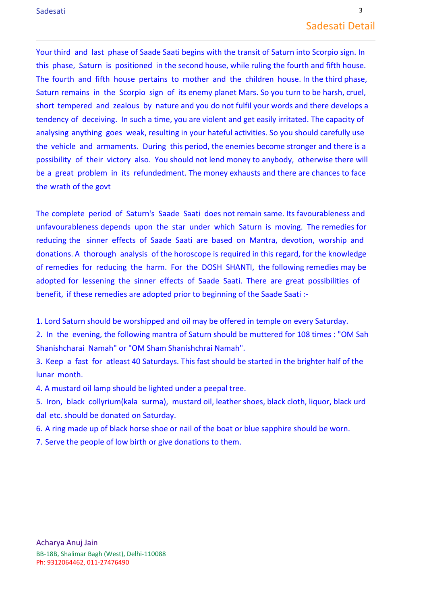Your third and last phase of Saade Saati begins with the transit of Saturn into Scorpio sign. In this phase, Saturn is positioned in the second house, while ruling the fourth and fifth house. The fourth and fifth house pertains to mother and the children house. In the third phase, Saturn remains in the Scorpio sign of its enemy planet Mars. So you turn to be harsh, cruel, short tempered and zealous by nature and you do not fulfil your words and there develops a tendency of deceiving. In such a time, you are violent and get easily irritated. The capacity of analysing anything goes weak, resulting in your hateful activities. So you should carefully use the vehicle and armaments. During this period, the enemies become stronger and there is a possibility of their victory also. You should not lend money to anybody, otherwise there will be a great problem in its refundedment. The money exhausts and there are chances to face the wrath of the govt

The complete period of Saturn's Saade Saati does not remain same. Its favourableness and unfavourableness depends upon the star under which Saturn is moving. The remedies for reducing the sinner effects of Saade Saati are based on Mantra, devotion, worship and donations. A thorough analysis of the horoscope is required in this regard, for the knowledge of remedies for reducing the harm. For the DOSH SHANTI, the following remedies may be adopted for lessening the sinner effects of Saade Saati. There are great possibilities of benefit, if these remedies are adopted prior to beginning of the Saade Saati :-

1. Lord Saturn should be worshipped and oil may be offered in temple on every Saturday.

2. In the evening, the following mantra of Saturn should be muttered for 108 times : "OM Sah Shanishcharai Namah" or "OM Sham Shanishchrai Namah".

3. Keep a fast for atleast 40 Saturdays. This fast should be started in the brighter half of the lunar month.

4. A mustard oil lamp should be lighted under a peepal tree.

5. Iron, black collyrium(kala surma), mustard oil, leather shoes, black cloth, liquor, black urd dal etc. should be donated on Saturday.

6. A ring made up of black horse shoe or nail of the boat or blue sapphire should be worn.

7. Serve the people of low birth or give donations to them.